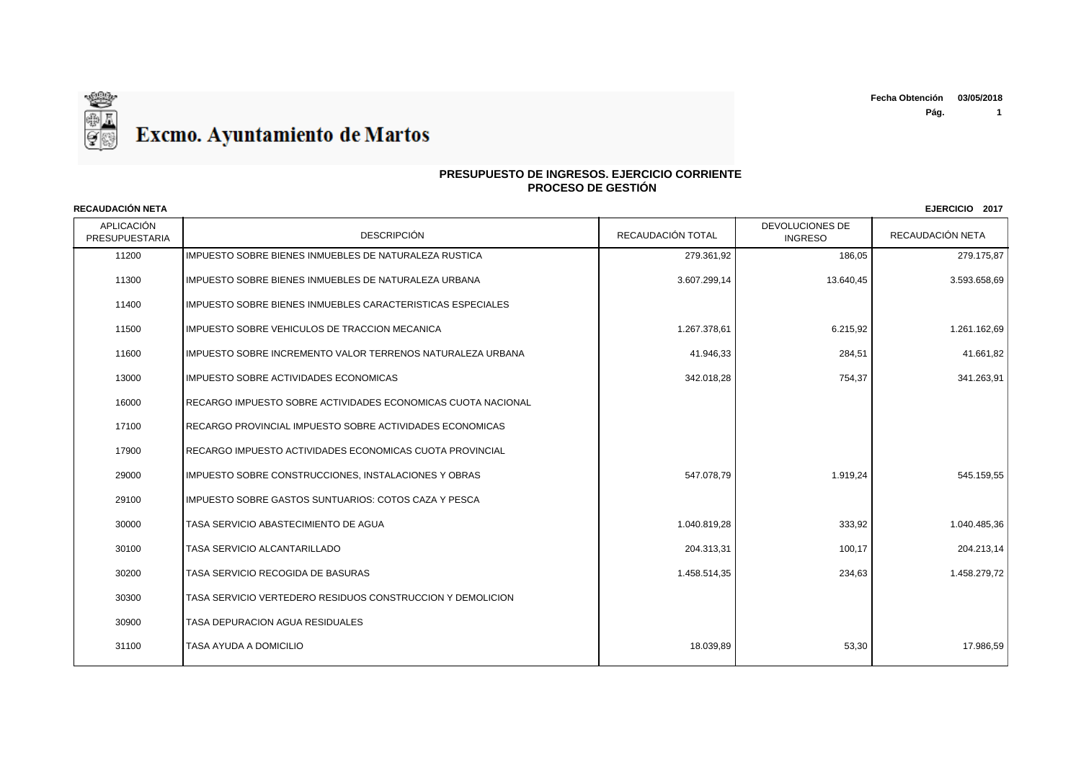

APLICACIÓN n de la contra de la proporción de la proporción de la proporción de la proporción de la proporción de la propor<br>PRESUPUESTARIA de la proporción de la proporción de la proporción de la proporción de la proporción de la pro DEVOLUCIONES DE RECAUDACIÓN NETA **RECAUDACIÓN NETA EJERCICIO 2017** 11200 IMPUESTO SOBRE BIENES INMUEBLES DE NATURALEZA RUSTICA 279.361,92 129.361,92 1 279.361,92 186,05 1 279.175,87 11300 IMPUESTO SOBRE BIENES INMUEBLES DE NATURALEZA URBANA 3.500 SASSEN 3.607.299.14 13.607.299.14 13.640.45 3.593.658.69 11400 IMPUESTO SOBRE BIENES INMUEBLES CARACTERISTICAS ESPECIALES 11500 IMPUESTO SOBRE VEHICULOS DE TRACCION MECANICA 1.267 1.267 1.267 1.267 1.267 1.267 1.267 1.261.162.69 1.261.162.69 11600 IMPUESTO SOBRE INCREMENTO VALOR TERRENOS NATURALEZA URBANA 41.41.41.41.41.946.33 41.946.33 284.51 41.661.82 13000 IMPUESTO SOBRE ACTIVIDADES ECONOMICAS 342.018,28 754,37 341.263,91 16000 RECARGO IMPUESTO SOBRE ACTIVIDADES ECONOMICAS CUOTA NACIONAL 17100 RECARGO PROVINCIAL IMPUESTO SOBRE ACTIVIDADES ECONOMICAS 17900 RECARGO IMPUESTO ACTIVIDADES ECONOMICAS CUOTA PROVINCIAL 29000 IMPUESTO SOBRE CONSTRUCCIONES, INSTALACIONES Y OBRAS 547.078,79 547.078,79 1.919,24 1.919,24 545.159,55 29100 | IMPUESTO SOBRE GASTOS SUNTUARIOS: COTOS CAZA Y PESCA 30000 TASA SERVICIO ABASTECIMIENTO DE AGUA 1.040.819,28 333,92 1.040.485,36 30100 TASA SERVICIO ALCANTARILLADO 204.313,31 100,17 204.213,14 30200 TASA SERVICIO RECOGIDA DE BASURAS 1.458.514,35 234,63 1.458.279,72 30300 TASA SERVICIO VERTEDERO RESIDUOS CONSTRUCCION Y DEMOLICION 30900 TASA DEPURACION AGUA RESIDUALES 31100 TASA AYUDA A DOMICILIO 18.039,89 53,30 17.986,59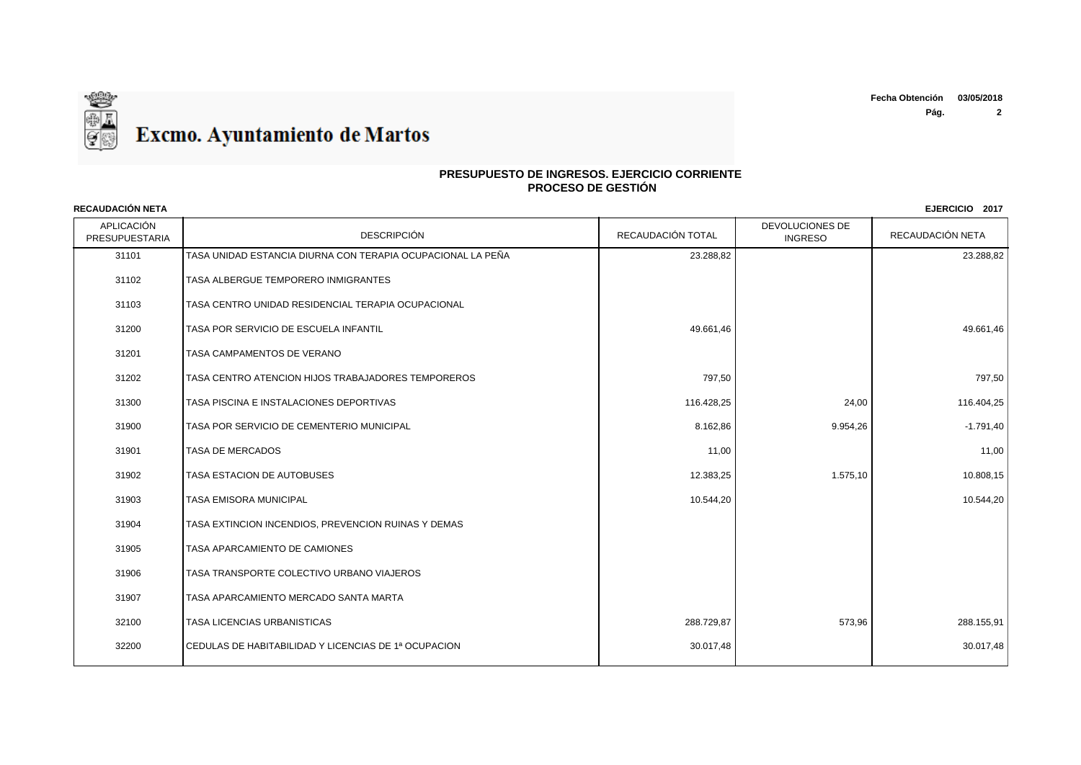

## **PRESUPUESTO DE INGRESOS. EJERCICIO CORRIENTE PROCESO DE GESTIÓN**

APLICACIÓN n de la concerte de la de la de la de la de la de la de la de la de la de la de la de la de la de la de la de<br>PRESUPUESTARIA DESCRIPCIÓN DESCRIPCIÓN DE LA DE LA DE LA DE LA DE LA DE LA DE LA DE LA DE LA DE LA DE LA DE LA DEVOLUCIONES DE RECAUDACIÓN NETA **RECAUDACIÓN NETA EJERCICIO 2017** TASA UNIDAD ESTANCIA DIURNA CON TERAPIA OCUPACIONAL LA PEÑA 23.288,82 23.288,82 TASA ALBERGUE TEMPORERO INMIGRANTES TASA CENTRO UNIDAD RESIDENCIAL TERAPIA OCUPACIONAL TASA POR SERVICIO DE ESCUELA INFANTIL 49.661,46 49.661,46 TASA CAMPAMENTOS DE VERANO TASA CENTRO ATENCION HIJOS TRABAJADORES TEMPOREROS 797,50 797,50 31300 TASA PISCINA E INSTALACIONES DEPORTIVAS 1992 116.425 21.00 116.428,25 24,00 116.404,25 31900 TASA POR SERVICIO DE CEMENTERIO MUNICIPAL AND SERVICIO DE COMENTERIO MUNICIPAL AND SANTO ANNO 19954,26 POR SERVICIO DE CEMENTERIO MUNICIPAL AND SANTO ANNO 19954,26 POR SERVICIO DE CEMENTERIO MUNICIPAL AND SANTO ANNO TASA DE MERCADOS 11,00 11,00 TASA ESTACION DE AUTOBUSES 12.383,25 1.575,10 10.808,15 ation of the set of the set of the set of the set of the set of the set of the set of the set of the set of the set of the set of the set of the set of the set of the set of the set of the set of the set of the set of the TASA EXTINCION INCENDIOS, PREVENCION RUINAS Y DEMAS TASA APARCAMIENTO DE CAMIONES TASA TRANSPORTE COLECTIVO URBANO VIAJEROS TASA APARCAMIENTO MERCADO SANTA MARTA TASA LICENCIAS URBANISTICAS 288.729,87 573,96 288.155,91 CEDULAS DE HABITABILIDAD Y LICENCIAS DE 1ª OCUPACION 30.017,48 30.017,48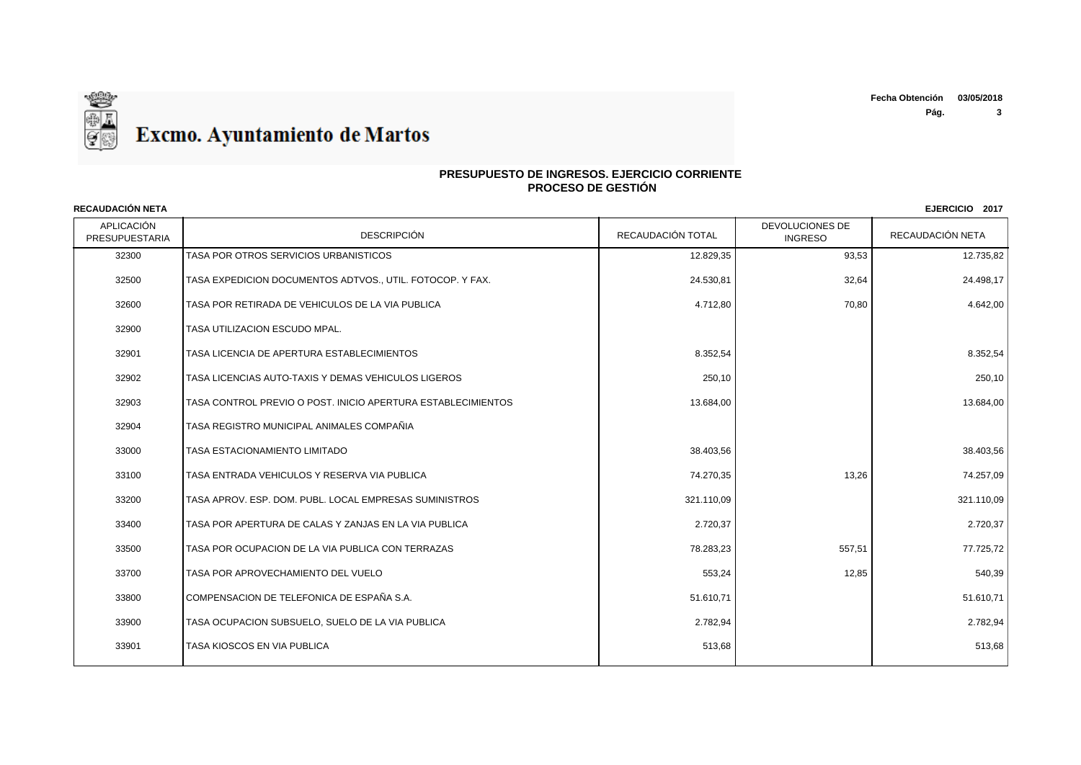

APLICACIÓN n de la contra de la proponeción de la proponeción de la proponeción de la proponeción de la proponeción de la proponeción de la proponeción de la proponeción de la proponeción de la proponeción de la proponeción de la pro DEVOLUCIONES DE RECAUDACIÓN NETA **RECAUDACIÓN NETA EJERCICIO 2017** TASA POR OTROS SERVICIOS URBANISTICOS 12.829,35 93,53 12.735,82 TASA EXPEDICION DOCUMENTOS ADTVOS., UTIL. FOTOCOP. Y FAX. 24.530,81 32,64 24.498,17 32600 TASA POR RETIRADA DE VEHICULOS DE LA VIA PUBLICA A A ANALIA EN LA ANALIA EN 1882,00 A 4.642,00 **70,80** 70,80 <sup>1</sup> 4.642,00 TASA UTILIZACION ESCUDO MPAL. TASA LICENCIA DE APERTURA ESTABLECIMIENTOS 8.352,54 8.352,54 TASA LICENCIAS AUTO-TAXIS Y DEMAS VEHICULOS LIGEROS 250,10 250,10 TASA CONTROL PREVIO O POST. INICIO APERTURA ESTABLECIMIENTOS 13.684,00 13.684,00 TASA REGISTRO MUNICIPAL ANIMALES COMPAÑIA TASA ESTACIONAMIENTO LIMITADO 38.403,56 38.403,56 TASA ENTRADA VEHICULOS Y RESERVA VIA PUBLICA 74.270,35 13,26 74.257,09 TASA APROV. ESP. DOM. PUBL. LOCAL EMPRESAS SUMINISTROS 321.110,09 321.110,09 TASA POR APERTURA DE CALAS Y ZANJAS EN LA VIA PUBLICA 2.720,37 2.720,37 TASA POR OCUPACION DE LA VIA PUBLICA CON TERRAZAS 78.283,23 557,51 77.725,72 TASA POR APROVECHAMIENTO DEL VUELO 553,24 12,85 540,39 33800 COMPENSACION DE TELEFONICA DE ESPAÑA S.A. SANTONICA EN EL SOLO EN EL SOLO EN EL SOLO, EN EL SOLO, EN EL SOLO, E TASA OCUPACION SUBSUELO, SUELO DE LA VIA PUBLICA 2.782,94 2.782,94 TASA KIOSCOS EN VIA PUBLICA 513,68 513,68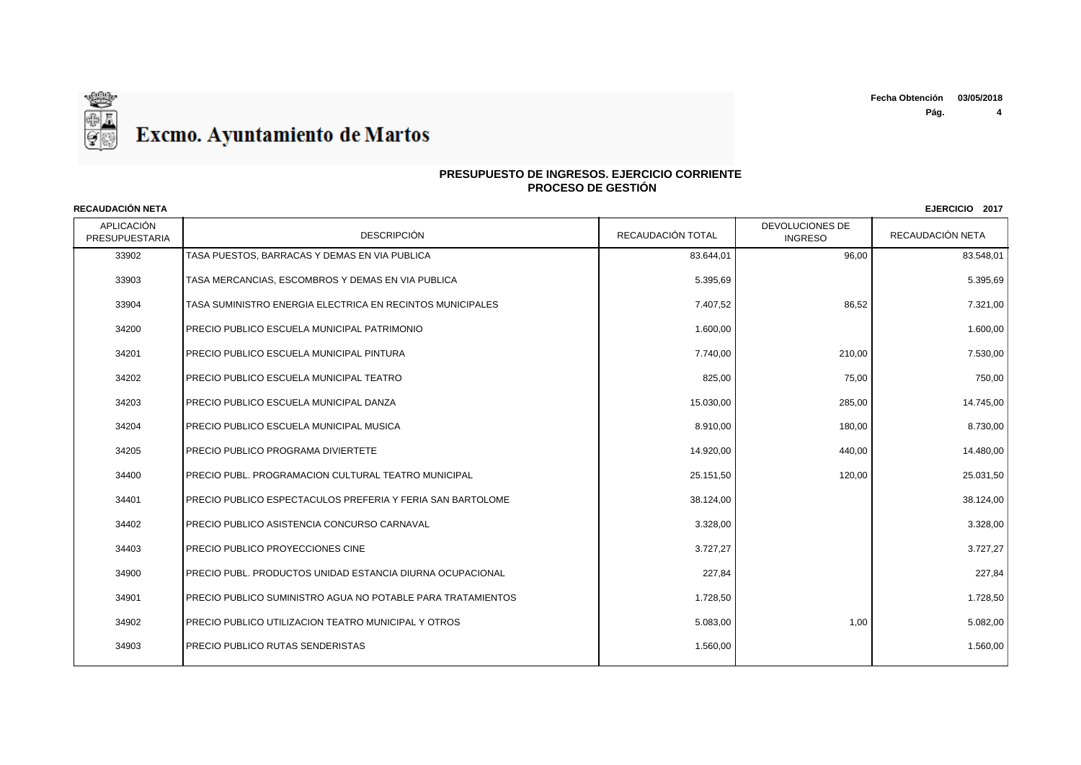**Pág. 4**



## **PRESUPUESTO DE INGRESOS. EJERCICIO CORRIENTE PROCESO DE GESTIÓN**

APLICACIÓN n de la contra de la proporción de la proporción de la proporción de la proporción de la proporción de la propor<br>PRESUPUESTARIA de la proporción de la proporción de la proporción de la proporción de la proporción de la pro DEVOLUCIONES DE RECAUDACIÓN NETA **RECAUDACIÓN NETA EJERCICIO 2017** 33902 TASA PUESTOS. BARRACAS Y DEMAS EN VIA PUBLICA AND SAN SANTA SANTA A SANTA SANTA SANTA SANTA SANTA SANTA SA 33903 TASA MERCANCIAS, ESCOMBROS Y DEMAS EN VIA PUBLICA 5.395,69 5.395,69 33904 TASA SUMINISTRO ENERGIA ELECTRICA EN RECINTOS MUNICIPALES 7.407,52 86,52 7.321,00 34200 PRECIO PUBLICO ESCUELA MUNICIPAL PATRIMONIO 1.600,00 1.600,00 34201 PRECIO PUBLICO ESCUELA MUNICIPAL PINTURA 7.740,00 210,00 7.530,00 34202 PRECIO PUBLICO ESCUELA MUNICIPAL TEATRO 825,00 75,00 750,00 34203 PRECIO PUBLICO ESCUELA MUNICIPAL DANZA 15.030 PRECIO PUBLICO ESCUELA MUNICIPAL DANZA 15.030,00 285,00 285,00 15.030,00 285,00 15.030,00 15.030,00 15.030,00 15.030,00 15.030 15.030 16.031 17.745,00 17.745,00 17.745,00 34204 PRECIO PUBLICO ESCUELA MUNICIPAL MUSICA 8.8910,00 RECIO PUBLICO ESCUELA MUNICIPAL MUSICA 34205 PRECIO PUBLICO PROGRAMA DIVIERTETE 14.920,00 440,00 14.480,00 34400 PRECIO PUBL. PROGRAMACION CULTURAL TEATRO MUNICIPAL 25.15 25.15 25.151,50 25.151,50 25.031,50 25.031,50 34401 PRECIO PUBLICO ESPECTACULOS PREFERIA Y FERIA SAN BARTOLOME 38.124,00 38.124,00 38.124,00 34402 PRECIO PUBLICO ASISTENCIA CONCURSO CARNAVAL 3.328,00 3.328,00 34403 PRECIO PUBLICO PROYECCIONES CINE 3.727,27 AND 3.727,27 SERVER 2.727,27 AND 4.727,27 SERVER 2.727,27 SERVER 2.727,27 34900 PRECIO PUBL. PRODUCTOS UNIDAD ESTANCIA DIURNA OCUPACIONAL 227,84 227,84 34901 PRECIO PUBLICO SUMINISTRO AGUA NO POTABLE PARA TRATAMIENTOS 1.728,50 1.728,50 1.728,50 1.728,50 1.728,50 34902 PRECIO PUBLICO UTILIZACION TEATRO MUNICIPAL Y OTROS 6.083,00 5.083,00 5.083,00 5.083,00 5.082,00 5.082,00 5.082,00 5.082,00 5.082,00 5.082,00 5.082,00 5.082,00 5.082,00 5.082,00 5.082,00 5.082,00 5.082,00 5.082,00 5. ation of the precion public product of the control of the control of the control of the control of the control of the control of the control of the control of the control of the control of the control of the control of the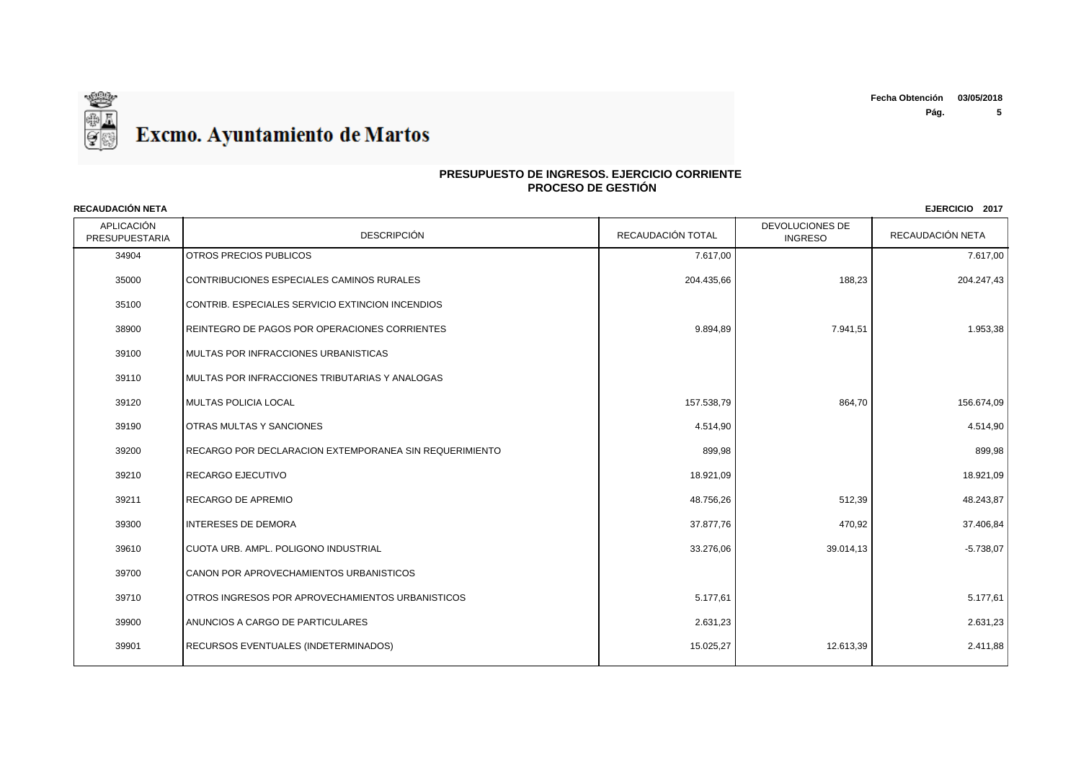

APLICACIÓN n de la contra de la proporción de la proporción de la proporción de la proporción de la proporción de la propor<br>PRESUPUESTARIA de la proporción de la proporción de la proporción de la proporción de la proporción de la pro DEVOLUCIONES DE RECAUDACIÓN NETA **RECAUDACIÓN NETA EJERCICIO 2017** 34904 OTROS PRECIOS PUBLICOS (SUN DESCRIPTION DE LA CONSTRUITION DE LA CONSTRUITION DE LA CONSTRUCTION DE LA CO 35000 CONTRIBUCIONES ESPECIALES CAMINOS RURALES 204.435,66 188,23 204.247,43 35100 CONTRIB. ESPECIALES SERVICIO EXTINCION INCENDIOS 38900 REINTEGRO DE PAGOS POR OPERACIONES CORRIENTES And the series of the series of the series of the series of the series of the series of the series of the series of the series of the series of the series of the series o 39100 MULTAS POR INFRACCIONES URBANISTICAS 39110 MULTAS POR INFRACCIONES TRIBUTARIAS Y ANALOGAS 39120 MULTAS POLICIA LOCAL 157.538,79 864,70 156.674,09 39190 OTRAS MULTAS Y SANCIONES 4.514,90 4.514,90 39200 RECARGO POR DECLARACION EXTEMPORANEA SIN REQUERIMIENTO **BOSILE AND SUSSESSION REGUERIMIENTO** 899,98 **899,98** 39210 |RECARGO EJECUTIVO 18.921,09 | 18.921,09 | 1 39211 RECARGO DE APREMIO 48.756,26 512,39 48.243,87 39300 |INTERESES DE DEMORA 37.877,76 | 37.406,84 39610 CUOTA URB. AMPL. POLIGONO INDUSTRIAL 33.276,06 39.014,13 -5.738,07 39700 CANON POR APROVECHAMIENTOS URBANISTICOS 39710 OTROS INGRESOS POR APROVECHAMIENTOS URBANISTICOS (STATED STATED STATED STATED STATED STATED STATED STATED STATED STATED STATED STATED STATED STATED STATED STATED STATED STATED STATED STATED STATED STATED STATED STATE 39900 ANUNCIOS A CARGO DE PARTICULARES 2.631,23 2.631,23 39901 RECURSOS EVENTUALES (INDETERMINADOS) 2.411,88 (2.613,39 2.411,88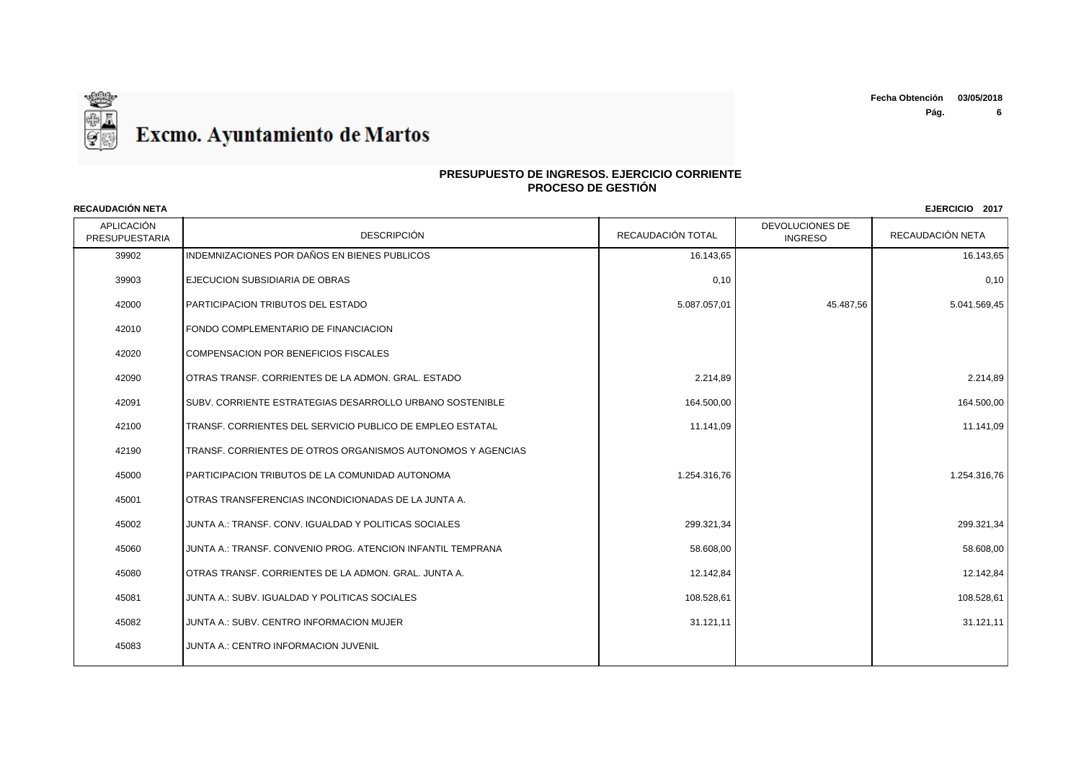

APLICACIÓN n de la contra de la proporción de la proporción de la proporción de la proporción de la proporción de la propor<br>PRESUPUESTARIA de la proporción de la proporción de la proporción de la proporción de la proporción de la pro DEVOLUCIONES DE RECAUDACIÓN NETA 39902 INDEMNIZACIONES POR DAÑOS EN BIENES PUBLICOS 16.143, ESTE ENTRE 16.143, ESTE ENTRE 16.143, ESTE ENTRE 16.143, ES 39903 EJECUCION SUBSIDIARIA DE OBRAS 0,10 0,10 42000 PARTICIPACION TRIBUTOS DEL ESTADO 6.047.057,01 5.087.057,01 45.487,56 45.487,56 5.041.569,45 42010 FONDO COMPLEMENTARIO DE FINANCIACION 42020 COMPENSACION POR BENEFICIOS FISCALES 42090 OTRAS TRANSF. CORRIENTES DE LA ADMON. GRAL. ESTADO 2.214,89 2.214,89 42091 SUBV. CORRIENTE ESTRATEGIAS DESARROLLO URBANO SOSTENIBLE 164.500 164.500,00 164.500,00 164.500,00 164.500,00 164.500,00 164.500,00 164.500,00 164.500,00 164.500,00 164.500,00 164.500,00 164.500,00 164.500,00 164.500, 42100 TRANSF. CORRIENTES DEL SERVICIO PUBLICO DE EMPLEO ESTATAL 11.141,09 11.141,09 11.141,09 11.141,09 11.141,09 11.141,09 11.141,09 11.141,09 11.141,09 11.141,09 11.141,09 11.141,09 11.141,09 11.141,09 11.141,09 11.141,0 42190 TRANSF. CORRIENTES DE OTROS ORGANISMOS AUTONOMOS Y AGENCIAS 45000 PARTICIPACION TRIBUTOS DE LA COMUNIDAD AUTONOMA 1.254.316.76 1.254.316,76 1.254.316,76 1.254.316,76 1.254.316,76 1.254.316,76 1.254.316,76 1.254.316,76 1.254.316,76 1.254.316,76 1.254.316,76 1.254.316,76 1.254.316,76 45001 OTRAS TRANSFERENCIAS INCONDICIONADAS DE LA JUNTA A. 45002 JUNTA A.: TRANSF. CONV. IGUALDAD Y POLITICAS SOCIALES 299.321,34 299.321,34 45060 JUNTA A.: TRANSF. CONVENIO PROG. ATENCION INFANTIL TEMPRANA 58.608,00 58.608,00 45080 OTRAS TRANSF. CORRIENTES DE LA ADMON. GRAL. JUNTA A. 12.12.12.12.12.12.12.12.12.142,84 12.142,84 12.142,84 12.142,84 45081 JUNTA A.: SUBV. IGUALDAD Y POLITICAS SOCIALES 108.528,61 108.528,61 45082 JUNTA A.: SUBV. CENTRO INFORMACION MUJER 31.121,11 31.121,11 45083 JUNTA A.: CENTRO INFORMACION JUVENIL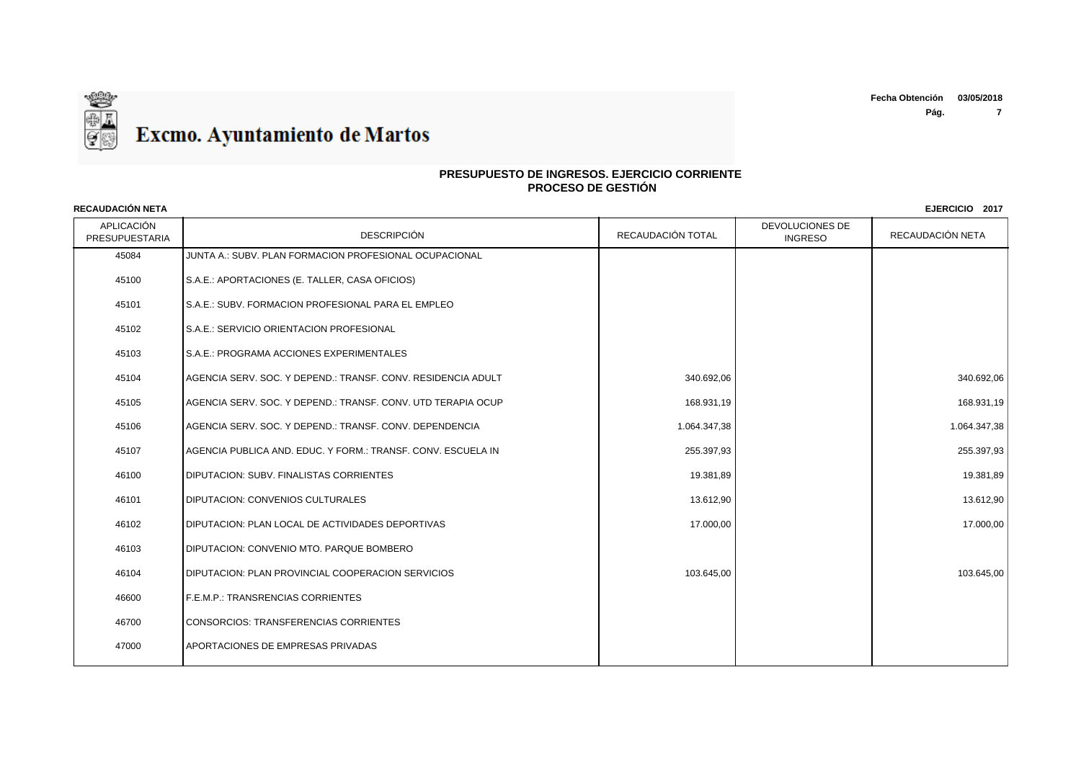

# **PRESUPUESTO DE INGRESOS. EJERCICIO CORRIENTE PROCESO DE GESTIÓN**

| APLICACIÓN<br>PRESUPUESTARIA | DESCRIPCIÓN                                                    | RECAUDACIÓN TOTAL | DEVOLUCIONES DE<br><b>INGRESO</b> | RECAUDACIÓN NETA |
|------------------------------|----------------------------------------------------------------|-------------------|-----------------------------------|------------------|
| 45084                        | JUNTA A.: SUBV. PLAN FORMACION PROFESIONAL OCUPACIONAL         |                   |                                   |                  |
| 45100                        | S.A.E.: APORTACIONES (E. TALLER, CASA OFICIOS)                 |                   |                                   |                  |
| 45101                        | S.A.E.: SUBV. FORMACION PROFESIONAL PARA EL EMPLEO             |                   |                                   |                  |
| 45102                        | S.A.E.: SERVICIO ORIENTACION PROFESIONAL                       |                   |                                   |                  |
| 45103                        | S.A.E.: PROGRAMA ACCIONES EXPERIMENTALES                       |                   |                                   |                  |
| 45104                        | IAGENCIA SERV. SOC. Y DEPEND.: TRANSF. CONV. RESIDENCIA ADULT  | 340.692,06        |                                   | 340.692,06       |
| 45105                        | AGENCIA SERV. SOC. Y DEPEND.: TRANSF. CONV. UTD TERAPIA OCUP   | 168.931,19        |                                   | 168.931,19       |
| 45106                        | IAGENCIA SERV. SOC. Y DEPEND.: TRANSF. CONV. DEPENDENCIA       | 1.064.347,38      |                                   | 1.064.347,38     |
| 45107                        | I AGENCIA PUBLICA AND. EDUC. Y FORM.: TRANSF. CONV. ESCUELA IN | 255.397,93        |                                   | 255.397,93       |
| 46100                        | <b>DIPUTACION: SUBV. FINALISTAS CORRIENTES</b>                 | 19.381,89         |                                   | 19.381,89        |
| 46101                        | <b>DIPUTACION: CONVENIOS CULTURALES</b>                        | 13.612,90         |                                   | 13.612,90        |
| 46102                        | DIPUTACION: PLAN LOCAL DE ACTIVIDADES DEPORTIVAS               | 17.000,00         |                                   | 17.000,00        |
| 46103                        | <b>IDIPUTACION: CONVENIO MTO. PARQUE BOMBERO</b>               |                   |                                   |                  |
| 46104                        | <b>DIPUTACION: PLAN PROVINCIAL COOPERACION SERVICIOS</b>       | 103.645,00        |                                   | 103.645,00       |
| 46600                        | F.E.M.P.: TRANSRENCIAS CORRIENTES                              |                   |                                   |                  |
| 46700                        | CONSORCIOS: TRANSFERENCIAS CORRIENTES                          |                   |                                   |                  |
| 47000                        | <b>APORTACIONES DE EMPRESAS PRIVADAS</b>                       |                   |                                   |                  |
|                              |                                                                |                   |                                   |                  |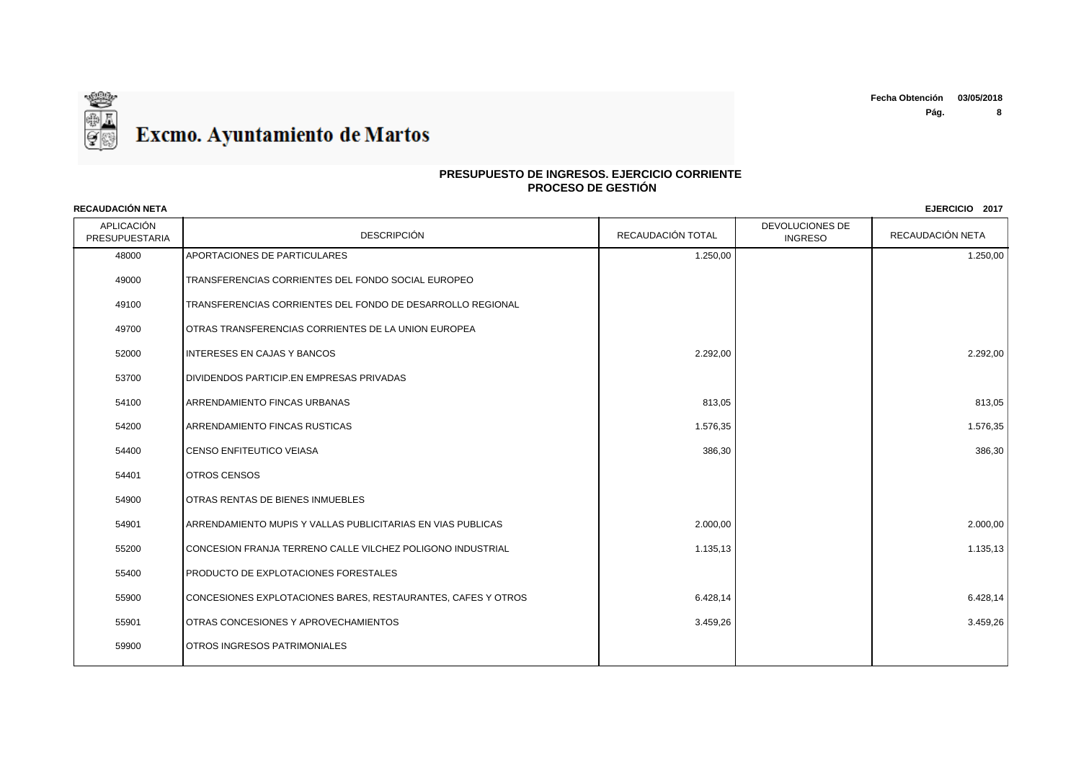

# **PRESUPUESTO DE INGRESOS. EJERCICIO CORRIENTE PROCESO DE GESTIÓN**

| <b>RECAUDACIÓN NETA</b>      |                                                              |                   |                                   | EJERCICIO 2017   |
|------------------------------|--------------------------------------------------------------|-------------------|-----------------------------------|------------------|
| APLICACIÓN<br>PRESUPUESTARIA | <b>DESCRIPCIÓN</b>                                           | RECAUDACIÓN TOTAL | DEVOLUCIONES DE<br><b>INGRESO</b> | RECAUDACIÓN NETA |
| 48000                        | APORTACIONES DE PARTICULARES                                 | 1.250,00          |                                   | 1.250,00         |
| 49000                        | TRANSFERENCIAS CORRIENTES DEL FONDO SOCIAL EUROPEO           |                   |                                   |                  |
| 49100                        | TRANSFERENCIAS CORRIENTES DEL FONDO DE DESARROLLO REGIONAL   |                   |                                   |                  |
| 49700                        | OTRAS TRANSFERENCIAS CORRIENTES DE LA UNION EUROPEA          |                   |                                   |                  |
| 52000                        | <b>INTERESES EN CAJAS Y BANCOS</b>                           | 2.292,00          |                                   | 2.292,00         |
| 53700                        | DIVIDENDOS PARTICIP.EN EMPRESAS PRIVADAS                     |                   |                                   |                  |
| 54100                        | <b>ARRENDAMIENTO FINCAS URBANAS</b>                          | 813,05            |                                   | 813,05           |
| 54200                        | <b>ARRENDAMIENTO FINCAS RUSTICAS</b>                         | 1.576,35          |                                   | 1.576,35         |
| 54400                        | <b>CENSO ENFITEUTICO VEIASA</b>                              | 386,30            |                                   | 386,30           |
| 54401                        | <b>OTROS CENSOS</b>                                          |                   |                                   |                  |
| 54900                        | <b>OTRAS RENTAS DE BIENES INMUEBLES</b>                      |                   |                                   |                  |
| 54901                        | ARRENDAMIENTO MUPIS Y VALLAS PUBLICITARIAS EN VIAS PUBLICAS  | 2.000,00          |                                   | 2.000,00         |
| 55200                        | CONCESION FRANJA TERRENO CALLE VILCHEZ POLIGONO INDUSTRIAL   | 1.135,13          |                                   | 1.135,13         |
| 55400                        | <b>PRODUCTO DE EXPLOTACIONES FORESTALES</b>                  |                   |                                   |                  |
| 55900                        | CONCESIONES EXPLOTACIONES BARES, RESTAURANTES, CAFES Y OTROS | 6.428,14          |                                   | 6.428,14         |
| 55901                        | <b>OTRAS CONCESIONES Y APROVECHAMIENTOS</b>                  | 3.459,26          |                                   | 3.459,26         |
| 59900                        | OTROS INGRESOS PATRIMONIALES                                 |                   |                                   |                  |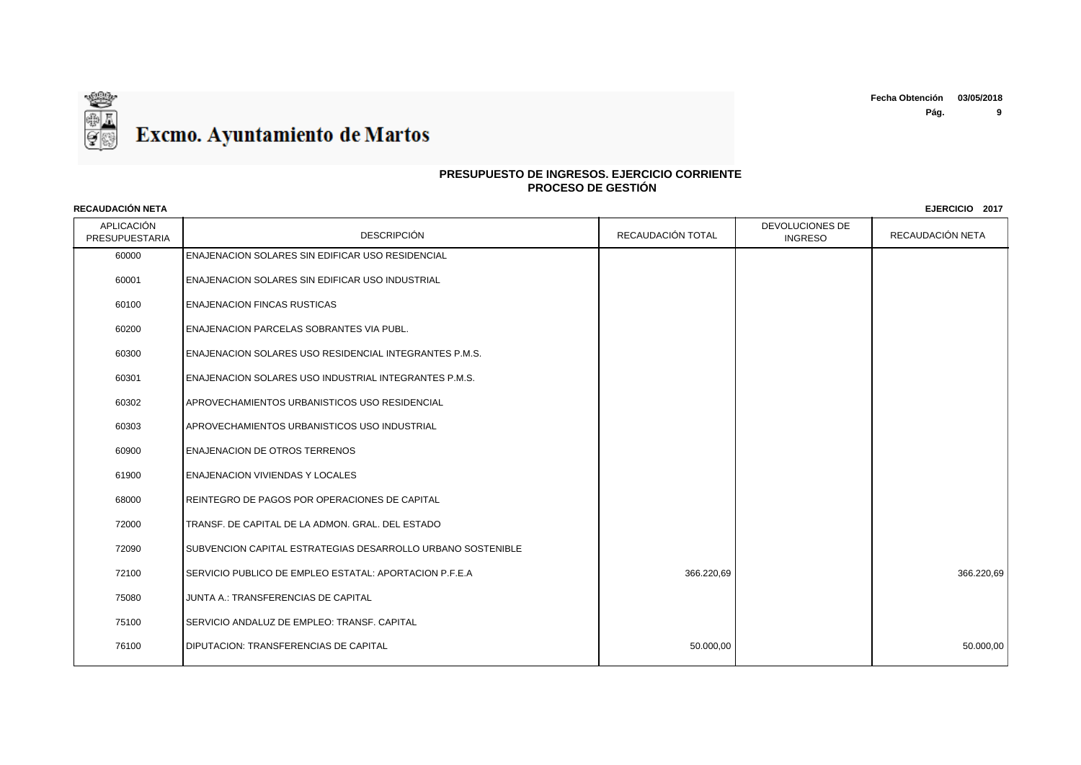

# **PRESUPUESTO DE INGRESOS. EJERCICIO CORRIENTE PROCESO DE GESTIÓN**

| APLICACIÓN<br>PRESUPUESTARIA | <b>DESCRIPCIÓN</b>                                          | RECAUDACIÓN TOTAL | DEVOLUCIONES DE<br><b>INGRESO</b> | RECAUDACIÓN NETA |
|------------------------------|-------------------------------------------------------------|-------------------|-----------------------------------|------------------|
| 60000                        | <b>ENAJENACION SOLARES SIN EDIFICAR USO RESIDENCIAL</b>     |                   |                                   |                  |
| 60001                        | ENAJENACION SOLARES SIN EDIFICAR USO INDUSTRIAL             |                   |                                   |                  |
| 60100                        | <b>ENAJENACION FINCAS RUSTICAS</b>                          |                   |                                   |                  |
| 60200                        | ENAJENACION PARCELAS SOBRANTES VIA PUBL.                    |                   |                                   |                  |
| 60300                        | ENAJENACION SOLARES USO RESIDENCIAL INTEGRANTES P.M.S.      |                   |                                   |                  |
| 60301                        | ENAJENACION SOLARES USO INDUSTRIAL INTEGRANTES P.M.S.       |                   |                                   |                  |
| 60302                        | APROVECHAMIENTOS URBANISTICOS USO RESIDENCIAL               |                   |                                   |                  |
| 60303                        | APROVECHAMIENTOS URBANISTICOS USO INDUSTRIAL                |                   |                                   |                  |
| 60900                        | <b>ENAJENACION DE OTROS TERRENOS</b>                        |                   |                                   |                  |
| 61900                        | <b>ENAJENACION VIVIENDAS Y LOCALES</b>                      |                   |                                   |                  |
| 68000                        | REINTEGRO DE PAGOS POR OPERACIONES DE CAPITAL               |                   |                                   |                  |
| 72000                        | TRANSF. DE CAPITAL DE LA ADMON. GRAL. DEL ESTADO            |                   |                                   |                  |
| 72090                        | SUBVENCION CAPITAL ESTRATEGIAS DESARROLLO URBANO SOSTENIBLE |                   |                                   |                  |
| 72100                        | SERVICIO PUBLICO DE EMPLEO ESTATAL: APORTACION P.F.E.A      | 366.220,69        |                                   | 366.220,69       |
| 75080                        | JUNTA A.: TRANSFERENCIAS DE CAPITAL                         |                   |                                   |                  |
| 75100                        | SERVICIO ANDALUZ DE EMPLEO: TRANSF. CAPITAL                 |                   |                                   |                  |
| 76100                        | <b>DIPUTACION: TRANSFERENCIAS DE CAPITAL</b>                | 50.000,00         |                                   | 50.000,00        |
|                              |                                                             |                   |                                   |                  |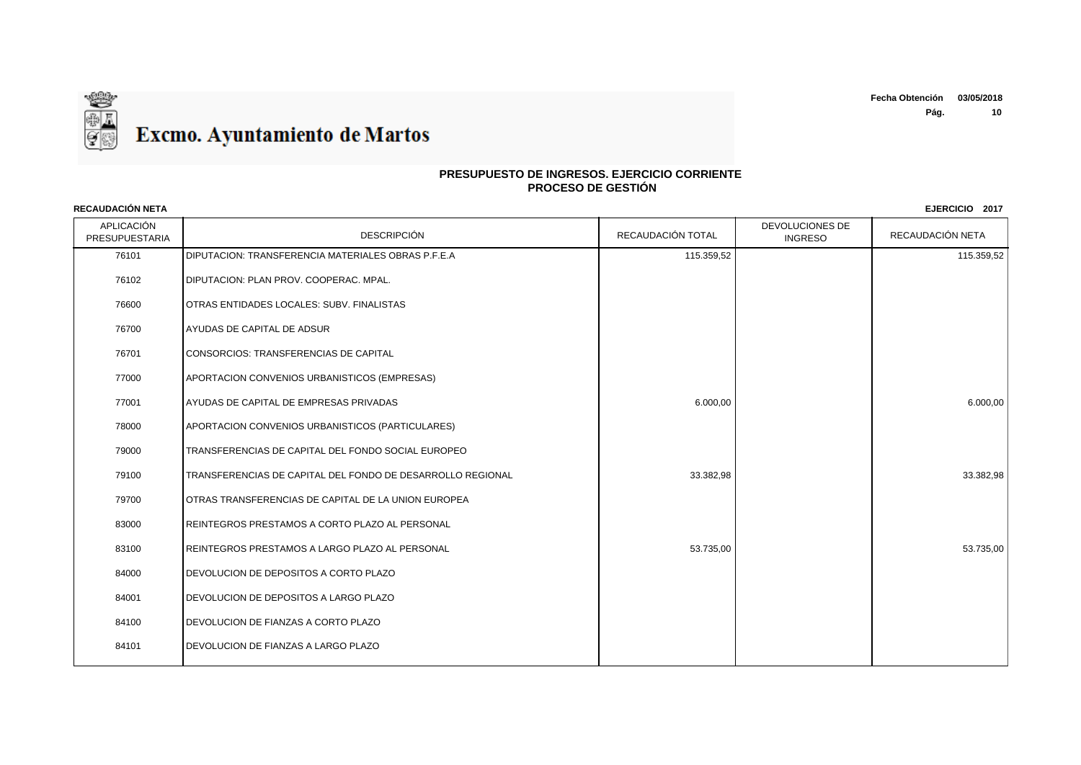

## **PRESUPUESTO DE INGRESOS. EJERCICIO CORRIENTE PROCESO DE GESTIÓN**

APLICACIÓN n de la contra de la proponeción de la proponeción de la proponeción de la proponeción de la proponeción de la proponeción de la proponeción de la proponeción de la proponeción de la proponeción de la proponeción de la pro DEVOLUCIONES DE RECAUDACIÓN NETA 76101 DIPUTACION: TRANSFERENCIA MATERIALES OBRAS P.F.E.A 115.359,52 115.359,52 115.359,52 115.359,52 115.359,52 DIPUTACION: PLAN PROV. COOPERAC. MPAL. OTRAS ENTIDADES LOCALES: SUBV. FINALISTAS AYUDAS DE CAPITAL DE ADSUR CONSORCIOS: TRANSFERENCIAS DE CAPITAL APORTACION CONVENIOS URBANISTICOS (EMPRESAS) AYUDAS DE CAPITAL DE EMPRESAS PRIVADAS 6.000,00 6.000,00 APORTACION CONVENIOS URBANISTICOS (PARTICULARES) TRANSFERENCIAS DE CAPITAL DEL FONDO SOCIAL EUROPEO TRANSFERENCIAS DE CAPITAL DEL FONDO DE DESARROLLO REGIONAL 33.382,98 33.382,98 OTRAS TRANSFERENCIAS DE CAPITAL DE LA UNION EUROPEA REINTEGROS PRESTAMOS A CORTO PLAZO AL PERSONAL 83100 REINTEGROS PRESTAMOS A LARGO PLAZO AL PERSONAL SANTO A CONSEGUIDADE EN SANTO ESTADO EN SANTO ESTADO EN SA DEVOLUCION DE DEPOSITOS A CORTO PLAZO DEVOLUCION DE DEPOSITOS A LARGO PLAZO DEVOLUCION DE FIANZAS A CORTO PLAZO DEVOLUCION DE FIANZAS A LARGO PLAZO